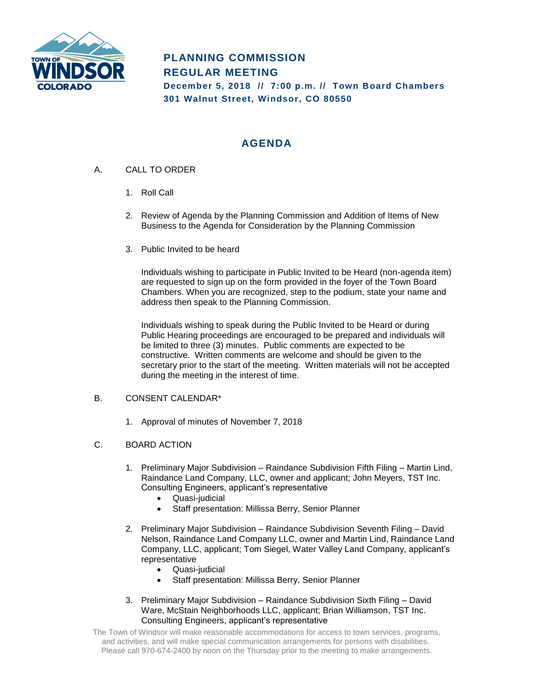

# **PLANNING COMMISSION REGULAR MEETING December 5, 2018 // 7:00 p.m. // Town Board Chambers 301 Walnut Street, Windsor, CO 80550**

## **AGENDA**

- A. CALL TO ORDER
	- 1. Roll Call
	- 2. Review of Agenda by the Planning Commission and Addition of Items of New Business to the Agenda for Consideration by the Planning Commission
	- 3. Public Invited to be heard

Individuals wishing to participate in Public Invited to be Heard (non-agenda item) are requested to sign up on the form provided in the foyer of the Town Board Chambers. When you are recognized, step to the podium, state your name and address then speak to the Planning Commission.

Individuals wishing to speak during the Public Invited to be Heard or during Public Hearing proceedings are encouraged to be prepared and individuals will be limited to three (3) minutes. Public comments are expected to be constructive. Written comments are welcome and should be given to the secretary prior to the start of the meeting. Written materials will not be accepted during the meeting in the interest of time.

### B. CONSENT CALENDAR\*

1. Approval of minutes of November 7, 2018

### C. BOARD ACTION

- 1. Preliminary Major Subdivision Raindance Subdivision Fifth Filing Martin Lind, Raindance Land Company, LLC, owner and applicant; John Meyers, TST Inc. Consulting Engineers, applicant's representative
	- Quasi-judicial
	- Staff presentation: Millissa Berry, Senior Planner
- 2. Preliminary Major Subdivision Raindance Subdivision Seventh Filing David Nelson, Raindance Land Company LLC, owner and Martin Lind, Raindance Land Company, LLC, applicant; Tom Siegel, Water Valley Land Company, applicant's representative
	- Quasi-judicial
	- Staff presentation: Millissa Berry, Senior Planner
- 3. Preliminary Major Subdivision Raindance Subdivision Sixth Filing David Ware, McStain Neighborhoods LLC, applicant; Brian Williamson, TST Inc. Consulting Engineers, applicant's representative

The Town of Windsor will make reasonable accommodations for access to town services, programs, and activities, and will make special communication arrangements for persons with disabilities. Please call 970-674-2400 by noon on the Thursday prior to the meeting to make arrangements.